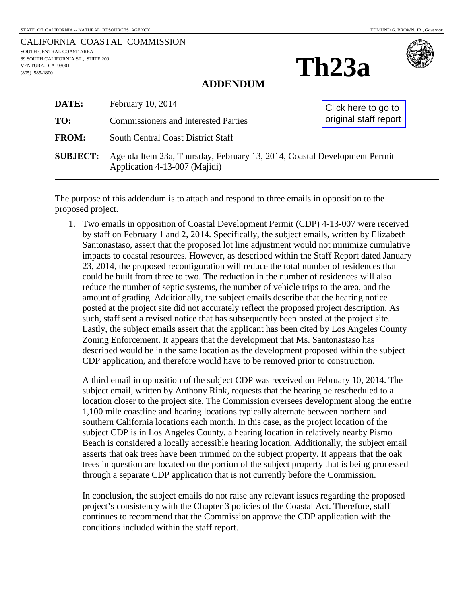|                                   | CALIFORNIA COASTAL COMMISSION |
|-----------------------------------|-------------------------------|
| SOUTH CENTRAL COAST AREA          |                               |
| 89 SOUTH CALIFORNIA ST  SUITE 200 |                               |
| VENTURA. CA 93001                 |                               |
| $(805)$ 585-1800                  |                               |
|                                   |                               |

## **Th23a**



#### **ADDENDUM**

| <b>DATE:</b>    | February 10, 2014                                                                                         | Click here to go to<br>original staff report |  |
|-----------------|-----------------------------------------------------------------------------------------------------------|----------------------------------------------|--|
| TO:             | <b>Commissioners and Interested Parties</b>                                                               |                                              |  |
| <b>FROM:</b>    | <b>South Central Coast District Staff</b>                                                                 |                                              |  |
| <b>SUBJECT:</b> | Agenda Item 23a, Thursday, February 13, 2014, Coastal Development Permit<br>Application 4-13-007 (Majidi) |                                              |  |

The purpose of this addendum is to attach and respond to three emails in opposition to the proposed project.

1. Two emails in opposition of Coastal Development Permit (CDP) 4-13-007 were received by staff on February 1 and 2, 2014. Specifically, the subject emails, written by Elizabeth Santonastaso, assert that the proposed lot line adjustment would not minimize cumulative impacts to coastal resources. However, as described within the Staff Report dated January 23, 2014, the proposed reconfiguration will reduce the total number of residences that could be built from three to two. The reduction in the number of residences will also reduce the number of septic systems, the number of vehicle trips to the area, and the amount of grading. Additionally, the subject emails describe that the hearing notice posted at the project site did not accurately reflect the proposed project description. As such, staff sent a revised notice that has subsequently been posted at the project site. Lastly, the subject emails assert that the applicant has been cited by Los Angeles County Zoning Enforcement. It appears that the development that Ms. Santonastaso has described would be in the same location as the development proposed within the subject CDP application, and therefore would have to be removed prior to construction.

A third email in opposition of the subject CDP was received on February 10, 2014. The subject email, written by Anthony Rink, requests that the hearing be rescheduled to a location closer to the project site. The Commission oversees development along the entire 1,100 mile coastline and hearing locations typically alternate between northern and southern California locations each month. In this case, as the project location of the subject CDP is in Los Angeles County, a hearing location in relatively nearby Pismo Beach is considered a locally accessible hearing location. Additionally, the subject email asserts that oak trees have been trimmed on the subject property. It appears that the oak trees in question are located on the portion of the subject property that is being processed through a separate CDP application that is not currently before the Commission.

In conclusion, the subject emails do not raise any relevant issues regarding the proposed project's consistency with the Chapter 3 policies of the Coastal Act. Therefore, staff continues to recommend that the Commission approve the CDP application with the conditions included within the staff report.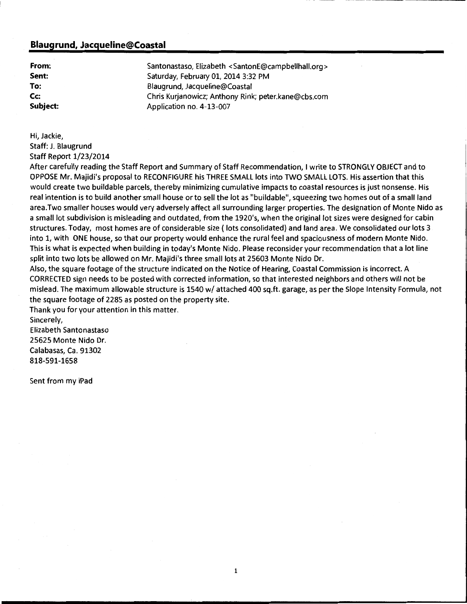#### **Blaugrund, Jacqueline@Coastal**

**From: Sent: To:**  Cc: **Subject:**  Santonastaso, Elizabeth < SantonE@campbellhall.org > Saturday, February 01, 2014 3:32 PM Blaugrund, Jacqueline@Coastal Chris Kurjanowicz; Anthony Rink; peter.kane@cbs.com Application no. 4-13-007

Hi, Jackie,

Staff: J. Blaugrund

Staff Report 1/23/2014

After carefully reading the Staff Report and Summary of Staff Recommendation, I write to STRONGLY OBJECT and to OPPOSE Mr. Majidi's proposal to RECONFIGURE his THREE SMALL lots into TWO SMALL LOTS. His assertion that this would create two buildable parcels, thereby minimizing cumulative impacts to coastal resources is just nonsense. His real intention is to build another small house or to sell the lot as "buildable", squeezing two homes out of a small land area.Two smaller houses would very adversely affect all surrounding larger properties. The designation of Monte Nido as a small lot subdivision is misleading and outdated, from the 1920's, when the original lot sizes were designed for cabin structures. Today, most homes are of considerable size (lots consolidated) and land area. We consolidated our lots 3 into 1, with ONE house, so that our property would enhance the rural feel and spaciousness of modern Monte Nido. This is what is expected when building in today's Monte Nido. Please reconsider your recommendation that a lot line split into two lots be allowed on Mr. Majidi's three small lots at 25603 Monte Nido Dr.

Also, the square footage of the structure indicated on the Notice of Hearing, Coastal Commission is incorrect. A CORRECTED sign needs to be posted with corrected information, so that interested neighbors and others will not be mislead. The maximum allowable structure is 1540 w/ attached 400 sq.ft. garage, as per the Slope Intensity Formula, not the square footage of 2285 as posted on the property site.

Thank you for your attention in this matter.

Sincerely, Elizabeth Santonastaso 25625 Monte Nido Dr. Calabasas, Ca. 91302 818-591-1658

Sent from my iPad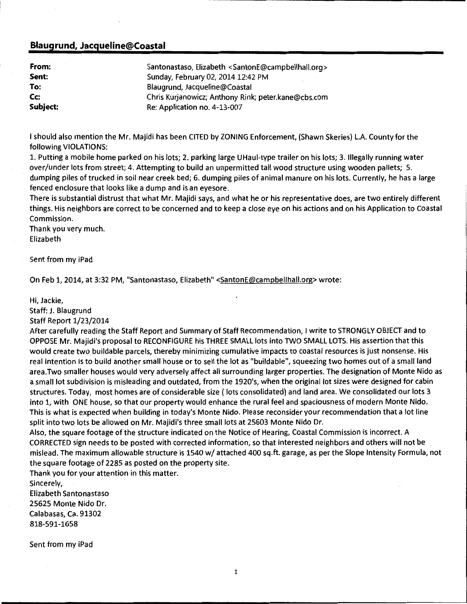#### **Blaugrund, Jacqueline@Coastal**

| From:    | Santonastaso, Elizabeth <santone@campbellhall.org></santone@campbellhall.org> |  |
|----------|-------------------------------------------------------------------------------|--|
| Sent:    | Sunday, February 02, 2014 12:42 PM                                            |  |
| To:      | Blaugrund, Jacqueline@Coastal                                                 |  |
| Cc:      | Chris Kurjanowicz; Anthony Rink; peter.kane@cbs.com                           |  |
| Subject: | Re: Application no. 4-13-007                                                  |  |

I should also mention the Mr. Majidi has been CITED by ZONING Enforcement, (Shawn Skeries) L.A. County for the following VIOLATIONS:

1. Putting a mobile home parked on his lots; 2. parking large UHaul-type trailer on his lots; 3. Illegally running water over/under lots from street; 4. Attempting to build an unpermitted tall wood structure using wooden pallets; 5. dumping piles of trucked in soil near creek bed; 6. dumping piles of animal manure on his lots. Currently, he has a large fenced enclosure that looks like a dump and is an eyesore.

There is substantial distrust that what Mr. Majidi says, and what he or his representative does, are two entirely different things. His neighbors are correct to be concerned and to keep a close eye on his actions and on his Application to Coastal Commission.

Thank you very much. Elizabeth

Sent from my iPad

On Feb 1, 2014, at 3:32 PM, "Santonastaso, Elizabeth" <SantonE@campbellhall.org> wrote:

Hi, Jackie,

#### Staff: J. Blaugrund

Staff Report 1/23/2014

After carefully reading the Staff Report and Summary of Staff Recommendation, I write to STRONGLY OBJECT and to OPPOSE Mr. Majidi's proposal to RECONFIGURE his THREE SMALL lots into TWO SMALL LOTS. His assertion that this would create two buildable parcels, thereby minimizing cumulative impacts to coastal resources is just nonsense. His real intention is to build another small house or to sell the lot as "buildable", squeezing two homes out of a small land area.Two smaller houses would very adversely affect all surrounding larger properties. The designation of Monte Nido as a small lot subdivision is misleading and outdated, from the 1920's, when the original lot sizes were designed for cabin structures. Today, most homes are of considerable size ( lots consolidated) and land area. We consolidated our lots 3 into 1, with ONE house, so that our property would enhance the rural feel and spaciousness of modern Monte Nido. This is what is expected when building in today's Monte Nido. Please reconsider your recommendation that a lot line split into two lots be allowed on Mr. Majidi's three small lots at 25603 Monte Nido Dr.

Also, the square footage of the structure indicated on the Notice of Hearing, Coastal Commission is incorrect. A CORRECTED sign needs to be posted with corrected information, so that interested neighbors and others will not be mislead. The maximum allowable structure is 1540 w/ attached 400 sq.ft. garage, as per the Slope Intensity Formula, not the square footage of 2285 as posted on the property site.

Thank you for your attention in this matter.

Sincerely, Elizabeth Santonastaso 25625 Monte Nido Dr. Calabasas, Ca. 91302 818-591-1658

Sent from my iPad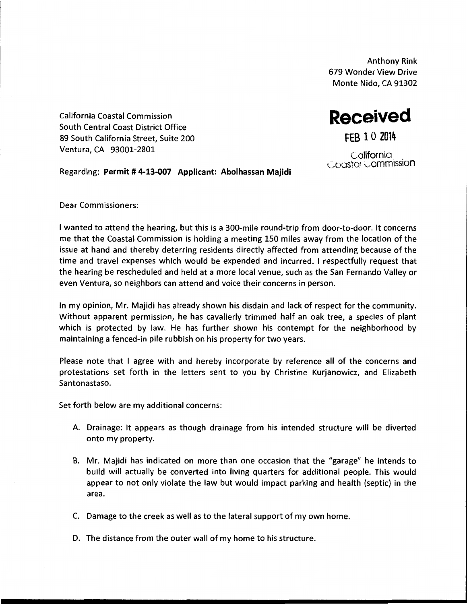Anthony Rink 679 Wonder View Drive Monte Nido, CA 91302

**Received** 

**FEB 10 2014** 

California Coastal Commission South Central Coast District Office 89 South California Street, Suite 200 Ventura, CA 93001-2801

California Coastoi Commission

Regarding: **Permit# 4-13-007 Applicant: Abolhassan Majidi** 

Dear Commissioners:

I wanted to attend the hearing, but this is a 300-mile round-trip from door-to-door. It concerns me that the Coastal Commission is holding a meeting 150 miles away from the location of the issue at hand and thereby deterring residents directly affected from attending because of the time and travel expenses which would be expended and incurred. I respectfully request that the hearing be rescheduled and held at a more local venue, such as the San Fernando Valley or even Ventura, so neighbors can attend and voice their concerns in person.

In my opinion, Mr. Majidi has already shown his disdain and lack of respect for the community. Without apparent permission, he has cavalierly trimmed half an oak tree, a species of plant which is protected by law. He has further shown his contempt for the neighborhood by maintaining a fenced-in pile rubbish on his property for two years.

Please note that I agree with and hereby incorporate by reference all of the concerns and protestations set forth in the letters sent to you by Christine Kurjanowicz, and Elizabeth Santonastaso.

Set forth below are my additional concerns:

- A. Drainage: It appears as though drainage from his intended structure will be diverted onto my property.
- B. Mr. Majidi has indicated on more than one occasion that the "garage" he intends to build will actually be converted into living quarters for additional people. This would appear to not only violate the law but would impact parking and health (septic) in the area.
- C. Damage to the creek as well as to the lateral support of my own home.
- D. The distance from the outer wall of my home to his structure.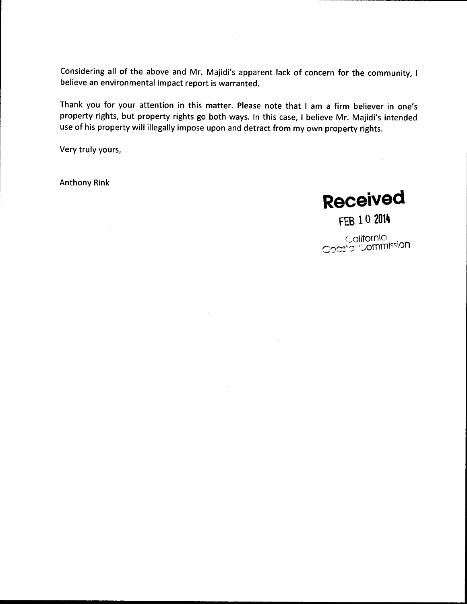Considering all of the above and Mr. Majidi's apparent lack of concern for the community, I believe an environmental impact report is warranted.

Thank you for your attention in this matter. Please note that I am a firm believer in one's property rights, but property rights go both ways. In this case, I believe Mr. Majidi's intended use of his property will illegally impose upon and detract from my own property rights.

Very truly yours,

Anthony Rink

**Received** 

FEB 10 **2014** 

California. Coastal Commission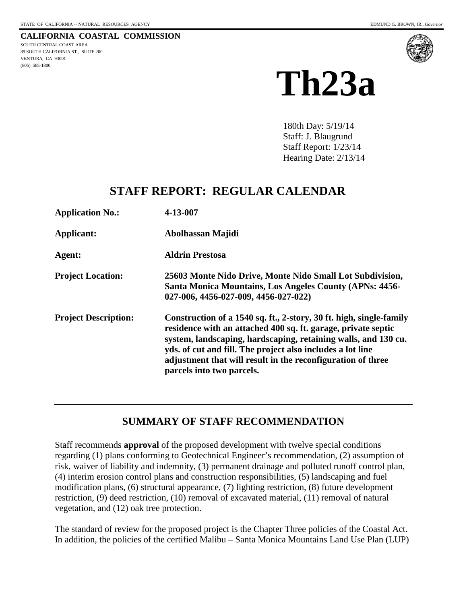<span id="page-5-0"></span>**CALIFORNIA COASTAL COMMISSION** SOUTH CENTRAL COAST AREA 89 SOUTH CALIFORNIA ST., SUITE 200 VENTURA, CA 93001 (805) 585-1800



# **Th23a**

180th Day: 5/19/14 Staff: J. Blaugrund Staff Report: 1/23/14 Hearing Date: 2/13/14

## **STAFF REPORT: REGULAR CALENDAR**

| <b>Application No.:</b>     | 4-13-007                                                                                                                                                                                                                                                                                                                                                         |
|-----------------------------|------------------------------------------------------------------------------------------------------------------------------------------------------------------------------------------------------------------------------------------------------------------------------------------------------------------------------------------------------------------|
| Applicant:                  | Abolhassan Majidi                                                                                                                                                                                                                                                                                                                                                |
| Agent:                      | <b>Aldrin Prestosa</b>                                                                                                                                                                                                                                                                                                                                           |
| <b>Project Location:</b>    | 25603 Monte Nido Drive, Monte Nido Small Lot Subdivision,<br>Santa Monica Mountains, Los Angeles County (APNs: 4456-<br>027-006, 4456-027-009, 4456-027-022)                                                                                                                                                                                                     |
| <b>Project Description:</b> | Construction of a 1540 sq. ft., 2-story, 30 ft. high, single-family<br>residence with an attached 400 sq. ft. garage, private septic<br>system, landscaping, hardscaping, retaining walls, and 130 cu.<br>yds. of cut and fill. The project also includes a lot line<br>adjustment that will result in the reconfiguration of three<br>parcels into two parcels. |

#### **SUMMARY OF STAFF RECOMMENDATION**

Staff recommends **approval** of the proposed development with twelve special conditions regarding (1) plans conforming to Geotechnical Engineer's recommendation, (2) assumption of risk, waiver of liability and indemnity, (3) permanent drainage and polluted runoff control plan, (4) interim erosion control plans and construction responsibilities, (5) landscaping and fuel modification plans, (6) structural appearance, (7) lighting restriction, (8) future development restriction, (9) deed restriction, (10) removal of excavated material, (11) removal of natural vegetation, and (12) oak tree protection.

The standard of review for the proposed project is the Chapter Three policies of the Coastal Act. In addition, the policies of the certified Malibu – Santa Monica Mountains Land Use Plan (LUP)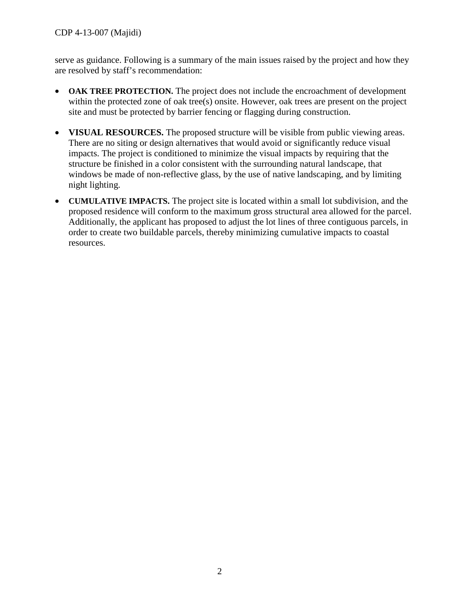serve as guidance. Following is a summary of the main issues raised by the project and how they are resolved by staff's recommendation:

- **OAK TREE PROTECTION.** The project does not include the encroachment of development within the protected zone of oak tree(s) onsite. However, oak trees are present on the project site and must be protected by barrier fencing or flagging during construction.
- **VISUAL RESOURCES.** The proposed structure will be visible from public viewing areas. There are no siting or design alternatives that would avoid or significantly reduce visual impacts. The project is conditioned to minimize the visual impacts by requiring that the structure be finished in a color consistent with the surrounding natural landscape, that windows be made of non-reflective glass, by the use of native landscaping, and by limiting night lighting.
- **CUMULATIVE IMPACTS.** The project site is located within a small lot subdivision, and the proposed residence will conform to the maximum gross structural area allowed for the parcel. Additionally, the applicant has proposed to adjust the lot lines of three contiguous parcels, in order to create two buildable parcels, thereby minimizing cumulative impacts to coastal resources.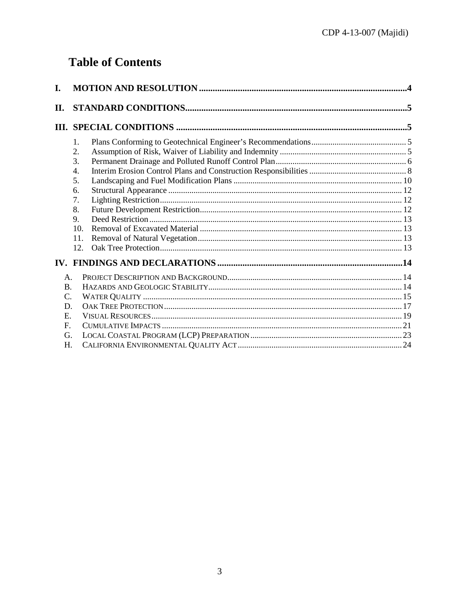## **Table of Contents**

| L.                                                                          |                                                                                                   |  |  |
|-----------------------------------------------------------------------------|---------------------------------------------------------------------------------------------------|--|--|
| П.                                                                          |                                                                                                   |  |  |
|                                                                             |                                                                                                   |  |  |
|                                                                             | 1.<br>2.<br>3.<br>4.<br>5.<br>6.<br>7.<br>8.<br>$\mathbf{Q}_{1}$<br>10 <sub>1</sub><br>11.<br>12. |  |  |
|                                                                             |                                                                                                   |  |  |
| $\mathsf{A}$ .<br><b>B.</b><br>C.<br>D.<br>Ε.<br>$\mathbf{F}$ .<br>G.<br>H. |                                                                                                   |  |  |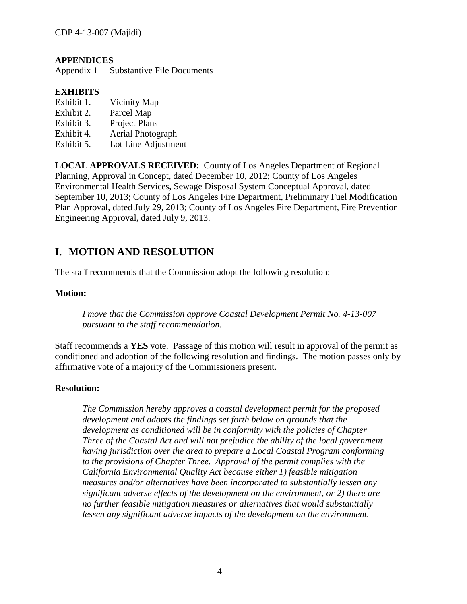#### **APPENDICES**

Appendix 1 Substantive File Documents

#### **EXHIBITS**

- Exhibit 1. Vicinity Map
- Exhibit 2. Parcel Map
- Exhibit 3. Project Plans
- Exhibit 4. Aerial Photograph
- Exhibit 5. Lot Line Adjustment

**LOCAL APPROVALS RECEIVED:** County of Los Angeles Department of Regional Planning, Approval in Concept, dated December 10, 2012; County of Los Angeles Environmental Health Services, Sewage Disposal System Conceptual Approval, dated September 10, 2013; County of Los Angeles Fire Department, Preliminary Fuel Modification Plan Approval, dated July 29, 2013; County of Los Angeles Fire Department, Fire Prevention Engineering Approval, dated July 9, 2013.

### <span id="page-8-0"></span>**I. MOTION AND RESOLUTION**

The staff recommends that the Commission adopt the following resolution:

#### **Motion:**

*I move that the Commission approve Coastal Development Permit No. 4-13-007 pursuant to the staff recommendation.* 

Staff recommends a **YES** vote. Passage of this motion will result in approval of the permit as conditioned and adoption of the following resolution and findings. The motion passes only by affirmative vote of a majority of the Commissioners present.

#### **Resolution:**

*The Commission hereby approves a coastal development permit for the proposed development and adopts the findings set forth below on grounds that the development as conditioned will be in conformity with the policies of Chapter Three of the Coastal Act and will not prejudice the ability of the local government having jurisdiction over the area to prepare a Local Coastal Program conforming to the provisions of Chapter Three. Approval of the permit complies with the California Environmental Quality Act because either 1) feasible mitigation measures and/or alternatives have been incorporated to substantially lessen any significant adverse effects of the development on the environment, or 2) there are no further feasible mitigation measures or alternatives that would substantially lessen any significant adverse impacts of the development on the environment.*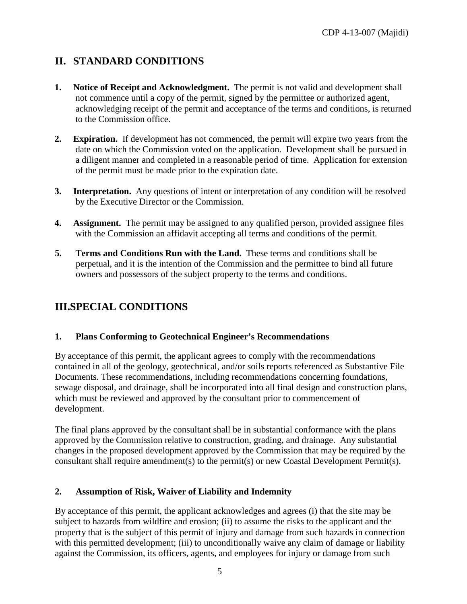## <span id="page-9-0"></span>**II. STANDARD CONDITIONS**

- **1. Notice of Receipt and Acknowledgment.** The permit is not valid and development shall not commence until a copy of the permit, signed by the permittee or authorized agent, acknowledging receipt of the permit and acceptance of the terms and conditions, is returned to the Commission office.
- **2. Expiration.** If development has not commenced, the permit will expire two years from the date on which the Commission voted on the application. Development shall be pursued in a diligent manner and completed in a reasonable period of time. Application for extension of the permit must be made prior to the expiration date.
- **3.** Interpretation. Any questions of intent or interpretation of any condition will be resolved by the Executive Director or the Commission.
- **4. Assignment.** The permit may be assigned to any qualified person, provided assignee files with the Commission an affidavit accepting all terms and conditions of the permit.
- **5. Terms and Conditions Run with the Land.** These terms and conditions shall be perpetual, and it is the intention of the Commission and the permittee to bind all future owners and possessors of the subject property to the terms and conditions.

## <span id="page-9-1"></span>**III.SPECIAL CONDITIONS**

#### <span id="page-9-2"></span>**1. Plans Conforming to Geotechnical Engineer's Recommendations**

By acceptance of this permit, the applicant agrees to comply with the recommendations contained in all of the geology, geotechnical, and/or soils reports referenced as Substantive File Documents. These recommendations, including recommendations concerning foundations, sewage disposal, and drainage, shall be incorporated into all final design and construction plans, which must be reviewed and approved by the consultant prior to commencement of development.

The final plans approved by the consultant shall be in substantial conformance with the plans approved by the Commission relative to construction, grading, and drainage. Any substantial changes in the proposed development approved by the Commission that may be required by the consultant shall require amendment(s) to the permit(s) or new Coastal Development Permit(s).

#### <span id="page-9-3"></span>**2. Assumption of Risk, Waiver of Liability and Indemnity**

By acceptance of this permit, the applicant acknowledges and agrees (i) that the site may be subject to hazards from wildfire and erosion; (ii) to assume the risks to the applicant and the property that is the subject of this permit of injury and damage from such hazards in connection with this permitted development; (iii) to unconditionally waive any claim of damage or liability against the Commission, its officers, agents, and employees for injury or damage from such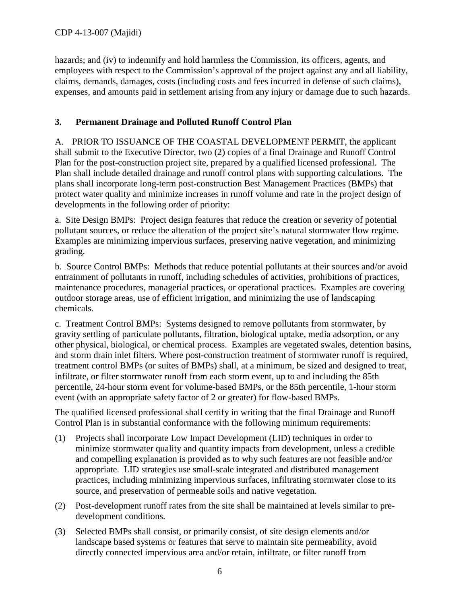hazards; and (iv) to indemnify and hold harmless the Commission, its officers, agents, and employees with respect to the Commission's approval of the project against any and all liability, claims, demands, damages, costs (including costs and fees incurred in defense of such claims), expenses, and amounts paid in settlement arising from any injury or damage due to such hazards.

#### <span id="page-10-0"></span>**3. Permanent Drainage and Polluted Runoff Control Plan**

A. PRIOR TO ISSUANCE OF THE COASTAL DEVELOPMENT PERMIT, the applicant shall submit to the Executive Director, two (2) copies of a final Drainage and Runoff Control Plan for the post-construction project site, prepared by a qualified licensed professional. The Plan shall include detailed drainage and runoff control plans with supporting calculations. The plans shall incorporate long-term post-construction Best Management Practices (BMPs) that protect water quality and minimize increases in runoff volume and rate in the project design of developments in the following order of priority:

a. Site Design BMPs: Project design features that reduce the creation or severity of potential pollutant sources, or reduce the alteration of the project site's natural stormwater flow regime. Examples are minimizing impervious surfaces, preserving native vegetation, and minimizing grading.

b. Source Control BMPs: Methods that reduce potential pollutants at their sources and/or avoid entrainment of pollutants in runoff, including schedules of activities, prohibitions of practices, maintenance procedures, managerial practices, or operational practices. Examples are covering outdoor storage areas, use of efficient irrigation, and minimizing the use of landscaping chemicals.

c. Treatment Control BMPs: Systems designed to remove pollutants from stormwater, by gravity settling of particulate pollutants, filtration, biological uptake, media adsorption, or any other physical, biological, or chemical process. Examples are vegetated swales, detention basins, and storm drain inlet filters. Where post-construction treatment of stormwater runoff is required, treatment control BMPs (or suites of BMPs) shall, at a minimum, be sized and designed to treat, infiltrate, or filter stormwater runoff from each storm event, up to and including the 85th percentile, 24-hour storm event for volume-based BMPs, or the 85th percentile, 1-hour storm event (with an appropriate safety factor of 2 or greater) for flow-based BMPs.

The qualified licensed professional shall certify in writing that the final Drainage and Runoff Control Plan is in substantial conformance with the following minimum requirements:

- (1) Projects shall incorporate Low Impact Development (LID) techniques in order to minimize stormwater quality and quantity impacts from development, unless a credible and compelling explanation is provided as to why such features are not feasible and/or appropriate. LID strategies use small-scale integrated and distributed management practices, including minimizing impervious surfaces, infiltrating stormwater close to its source, and preservation of permeable soils and native vegetation.
- (2) Post-development runoff rates from the site shall be maintained at levels similar to predevelopment conditions.
- (3) Selected BMPs shall consist, or primarily consist, of site design elements and/or landscape based systems or features that serve to maintain site permeability, avoid directly connected impervious area and/or retain, infiltrate, or filter runoff from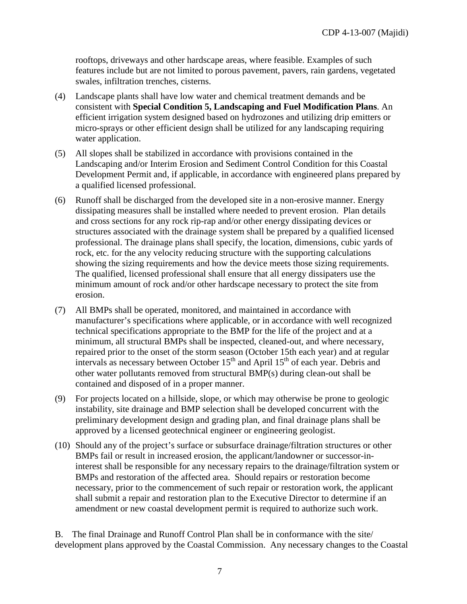rooftops, driveways and other hardscape areas, where feasible. Examples of such features include but are not limited to porous pavement, pavers, rain gardens, vegetated swales, infiltration trenches, cisterns.

- (4) Landscape plants shall have low water and chemical treatment demands and be consistent with **Special Condition 5, Landscaping and Fuel Modification Plans**. An efficient irrigation system designed based on hydrozones and utilizing drip emitters or micro-sprays or other efficient design shall be utilized for any landscaping requiring water application.
- (5) All slopes shall be stabilized in accordance with provisions contained in the Landscaping and/or Interim Erosion and Sediment Control Condition for this Coastal Development Permit and, if applicable, in accordance with engineered plans prepared by a qualified licensed professional.
- (6) Runoff shall be discharged from the developed site in a non-erosive manner. Energy dissipating measures shall be installed where needed to prevent erosion. Plan details and cross sections for any rock rip-rap and/or other energy dissipating devices or structures associated with the drainage system shall be prepared by a qualified licensed professional. The drainage plans shall specify, the location, dimensions, cubic yards of rock, etc. for the any velocity reducing structure with the supporting calculations showing the sizing requirements and how the device meets those sizing requirements. The qualified, licensed professional shall ensure that all energy dissipaters use the minimum amount of rock and/or other hardscape necessary to protect the site from erosion.
- (7) All BMPs shall be operated, monitored, and maintained in accordance with manufacturer's specifications where applicable, or in accordance with well recognized technical specifications appropriate to the BMP for the life of the project and at a minimum, all structural BMPs shall be inspected, cleaned-out, and where necessary, repaired prior to the onset of the storm season (October 15th each year) and at regular intervals as necessary between October  $15<sup>th</sup>$  and April  $15<sup>th</sup>$  of each year. Debris and other water pollutants removed from structural BMP(s) during clean-out shall be contained and disposed of in a proper manner.
- (9) For projects located on a hillside, slope, or which may otherwise be prone to geologic instability, site drainage and BMP selection shall be developed concurrent with the preliminary development design and grading plan, and final drainage plans shall be approved by a licensed geotechnical engineer or engineering geologist.
- (10) Should any of the project's surface or subsurface drainage/filtration structures or other BMPs fail or result in increased erosion, the applicant/landowner or successor-ininterest shall be responsible for any necessary repairs to the drainage/filtration system or BMPs and restoration of the affected area. Should repairs or restoration become necessary, prior to the commencement of such repair or restoration work, the applicant shall submit a repair and restoration plan to the Executive Director to determine if an amendment or new coastal development permit is required to authorize such work.

B. The final Drainage and Runoff Control Plan shall be in conformance with the site/ development plans approved by the Coastal Commission. Any necessary changes to the Coastal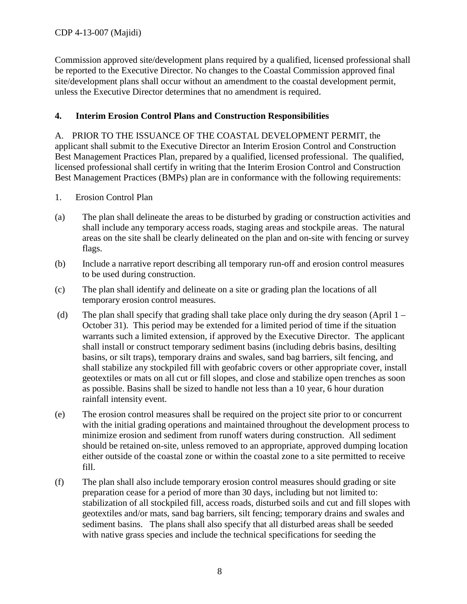Commission approved site/development plans required by a qualified, licensed professional shall be reported to the Executive Director. No changes to the Coastal Commission approved final site/development plans shall occur without an amendment to the coastal development permit, unless the Executive Director determines that no amendment is required.

#### <span id="page-12-0"></span>**4. Interim Erosion Control Plans and Construction Responsibilities**

A. PRIOR TO THE ISSUANCE OF THE COASTAL DEVELOPMENT PERMIT, the applicant shall submit to the Executive Director an Interim Erosion Control and Construction Best Management Practices Plan, prepared by a qualified, licensed professional. The qualified, licensed professional shall certify in writing that the Interim Erosion Control and Construction Best Management Practices (BMPs) plan are in conformance with the following requirements:

- 1. Erosion Control Plan
- (a) The plan shall delineate the areas to be disturbed by grading or construction activities and shall include any temporary access roads, staging areas and stockpile areas. The natural areas on the site shall be clearly delineated on the plan and on-site with fencing or survey flags.
- (b) Include a narrative report describing all temporary run-off and erosion control measures to be used during construction.
- (c) The plan shall identify and delineate on a site or grading plan the locations of all temporary erosion control measures.
- (d) The plan shall specify that grading shall take place only during the dry season (April  $1 -$ October 31). This period may be extended for a limited period of time if the situation warrants such a limited extension, if approved by the Executive Director. The applicant shall install or construct temporary sediment basins (including debris basins, desilting basins, or silt traps), temporary drains and swales, sand bag barriers, silt fencing, and shall stabilize any stockpiled fill with geofabric covers or other appropriate cover, install geotextiles or mats on all cut or fill slopes, and close and stabilize open trenches as soon as possible. Basins shall be sized to handle not less than a 10 year, 6 hour duration rainfall intensity event.
- (e) The erosion control measures shall be required on the project site prior to or concurrent with the initial grading operations and maintained throughout the development process to minimize erosion and sediment from runoff waters during construction. All sediment should be retained on-site, unless removed to an appropriate, approved dumping location either outside of the coastal zone or within the coastal zone to a site permitted to receive fill.
- (f) The plan shall also include temporary erosion control measures should grading or site preparation cease for a period of more than 30 days, including but not limited to: stabilization of all stockpiled fill, access roads, disturbed soils and cut and fill slopes with geotextiles and/or mats, sand bag barriers, silt fencing; temporary drains and swales and sediment basins. The plans shall also specify that all disturbed areas shall be seeded with native grass species and include the technical specifications for seeding the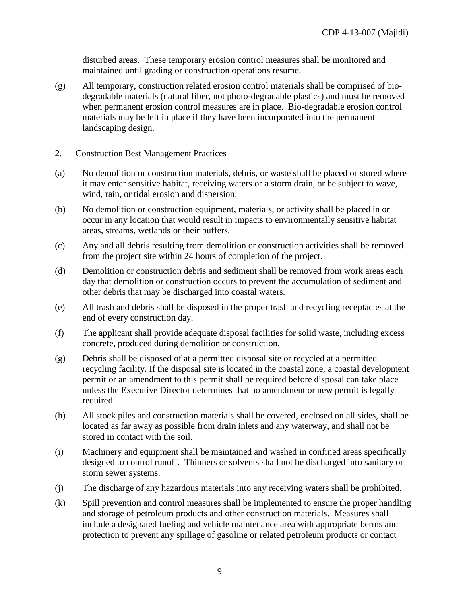disturbed areas. These temporary erosion control measures shall be monitored and maintained until grading or construction operations resume.

- (g) All temporary, construction related erosion control materials shall be comprised of biodegradable materials (natural fiber, not photo-degradable plastics) and must be removed when permanent erosion control measures are in place. Bio-degradable erosion control materials may be left in place if they have been incorporated into the permanent landscaping design.
- 2. Construction Best Management Practices
- (a) No demolition or construction materials, debris, or waste shall be placed or stored where it may enter sensitive habitat, receiving waters or a storm drain, or be subject to wave, wind, rain, or tidal erosion and dispersion.
- (b) No demolition or construction equipment, materials, or activity shall be placed in or occur in any location that would result in impacts to environmentally sensitive habitat areas, streams, wetlands or their buffers.
- (c) Any and all debris resulting from demolition or construction activities shall be removed from the project site within 24 hours of completion of the project.
- (d) Demolition or construction debris and sediment shall be removed from work areas each day that demolition or construction occurs to prevent the accumulation of sediment and other debris that may be discharged into coastal waters.
- (e) All trash and debris shall be disposed in the proper trash and recycling receptacles at the end of every construction day.
- (f) The applicant shall provide adequate disposal facilities for solid waste, including excess concrete, produced during demolition or construction.
- (g) Debris shall be disposed of at a permitted disposal site or recycled at a permitted recycling facility. If the disposal site is located in the coastal zone, a coastal development permit or an amendment to this permit shall be required before disposal can take place unless the Executive Director determines that no amendment or new permit is legally required.
- (h) All stock piles and construction materials shall be covered, enclosed on all sides, shall be located as far away as possible from drain inlets and any waterway, and shall not be stored in contact with the soil.
- (i) Machinery and equipment shall be maintained and washed in confined areas specifically designed to control runoff. Thinners or solvents shall not be discharged into sanitary or storm sewer systems.
- (j) The discharge of any hazardous materials into any receiving waters shall be prohibited.
- (k) Spill prevention and control measures shall be implemented to ensure the proper handling and storage of petroleum products and other construction materials. Measures shall include a designated fueling and vehicle maintenance area with appropriate berms and protection to prevent any spillage of gasoline or related petroleum products or contact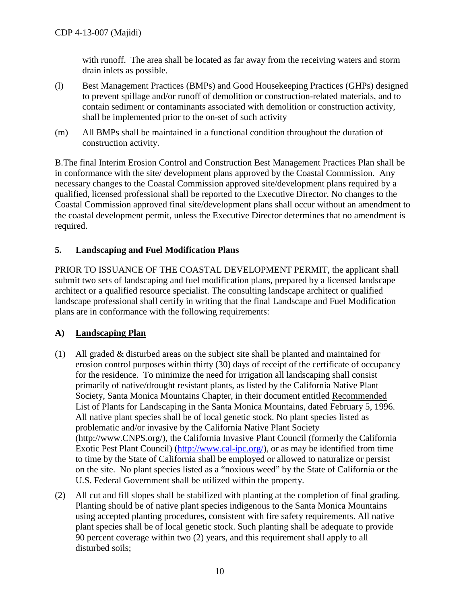with runoff. The area shall be located as far away from the receiving waters and storm drain inlets as possible.

- (l) Best Management Practices (BMPs) and Good Housekeeping Practices (GHPs) designed to prevent spillage and/or runoff of demolition or construction-related materials, and to contain sediment or contaminants associated with demolition or construction activity, shall be implemented prior to the on-set of such activity
- (m) All BMPs shall be maintained in a functional condition throughout the duration of construction activity.

B.The final Interim Erosion Control and Construction Best Management Practices Plan shall be in conformance with the site/ development plans approved by the Coastal Commission. Any necessary changes to the Coastal Commission approved site/development plans required by a qualified, licensed professional shall be reported to the Executive Director. No changes to the Coastal Commission approved final site/development plans shall occur without an amendment to the coastal development permit, unless the Executive Director determines that no amendment is required.

#### <span id="page-14-0"></span>**5. Landscaping and Fuel Modification Plans**

PRIOR TO ISSUANCE OF THE COASTAL DEVELOPMENT PERMIT, the applicant shall submit two sets of landscaping and fuel modification plans, prepared by a licensed landscape architect or a qualified resource specialist. The consulting landscape architect or qualified landscape professional shall certify in writing that the final Landscape and Fuel Modification plans are in conformance with the following requirements:

#### **A) Landscaping Plan**

- (1) All graded & disturbed areas on the subject site shall be planted and maintained for erosion control purposes within thirty (30) days of receipt of the certificate of occupancy for the residence. To minimize the need for irrigation all landscaping shall consist primarily of native/drought resistant plants, as listed by the California Native Plant Society, Santa Monica Mountains Chapter, in their document entitled Recommended List of Plants for Landscaping in the Santa Monica Mountains, dated February 5, 1996. All native plant species shall be of local genetic stock. No plant species listed as problematic and/or invasive by the California Native Plant Society [\(http://www.CNPS.org/\)](http://www.cnps.org/), the California Invasive Plant Council (formerly the California Exotic Pest Plant Council) [\(http://www.cal-ipc.org/\)](http://www.cal-ipc.org/), or as may be identified from time to time by the State of California shall be employed or allowed to naturalize or persist on the site. No plant species listed as a "noxious weed" by the State of California or the U.S. Federal Government shall be utilized within the property.
- (2) All cut and fill slopes shall be stabilized with planting at the completion of final grading. Planting should be of native plant species indigenous to the Santa Monica Mountains using accepted planting procedures, consistent with fire safety requirements. All native plant species shall be of local genetic stock. Such planting shall be adequate to provide 90 percent coverage within two (2) years, and this requirement shall apply to all disturbed soils;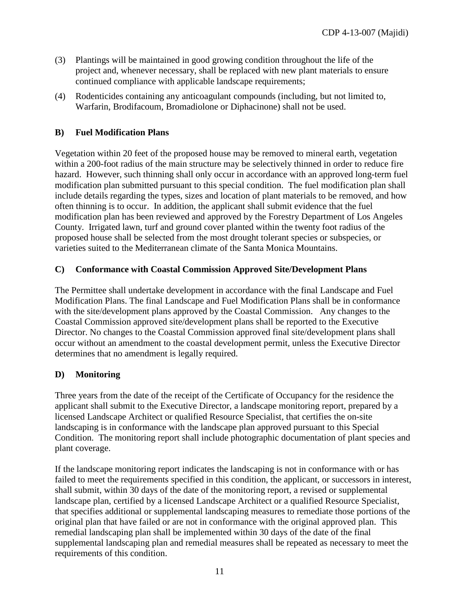- (3) Plantings will be maintained in good growing condition throughout the life of the project and, whenever necessary, shall be replaced with new plant materials to ensure continued compliance with applicable landscape requirements;
- (4) Rodenticides containing any anticoagulant compounds (including, but not limited to, Warfarin, Brodifacoum, Bromadiolone or Diphacinone) shall not be used.

#### **B) Fuel Modification Plans**

Vegetation within 20 feet of the proposed house may be removed to mineral earth, vegetation within a 200-foot radius of the main structure may be selectively thinned in order to reduce fire hazard. However, such thinning shall only occur in accordance with an approved long-term fuel modification plan submitted pursuant to this special condition. The fuel modification plan shall include details regarding the types, sizes and location of plant materials to be removed, and how often thinning is to occur. In addition, the applicant shall submit evidence that the fuel modification plan has been reviewed and approved by the Forestry Department of Los Angeles County. Irrigated lawn, turf and ground cover planted within the twenty foot radius of the proposed house shall be selected from the most drought tolerant species or subspecies, or varieties suited to the Mediterranean climate of the Santa Monica Mountains.

#### **C) Conformance with Coastal Commission Approved Site/Development Plans**

The Permittee shall undertake development in accordance with the final Landscape and Fuel Modification Plans. The final Landscape and Fuel Modification Plans shall be in conformance with the site/development plans approved by the Coastal Commission. Any changes to the Coastal Commission approved site/development plans shall be reported to the Executive Director. No changes to the Coastal Commission approved final site/development plans shall occur without an amendment to the coastal development permit, unless the Executive Director determines that no amendment is legally required.

#### **D) Monitoring**

Three years from the date of the receipt of the Certificate of Occupancy for the residence the applicant shall submit to the Executive Director, a landscape monitoring report, prepared by a licensed Landscape Architect or qualified Resource Specialist, that certifies the on-site landscaping is in conformance with the landscape plan approved pursuant to this Special Condition. The monitoring report shall include photographic documentation of plant species and plant coverage.

If the landscape monitoring report indicates the landscaping is not in conformance with or has failed to meet the requirements specified in this condition, the applicant, or successors in interest, shall submit, within 30 days of the date of the monitoring report, a revised or supplemental landscape plan, certified by a licensed Landscape Architect or a qualified Resource Specialist, that specifies additional or supplemental landscaping measures to remediate those portions of the original plan that have failed or are not in conformance with the original approved plan. This remedial landscaping plan shall be implemented within 30 days of the date of the final supplemental landscaping plan and remedial measures shall be repeated as necessary to meet the requirements of this condition.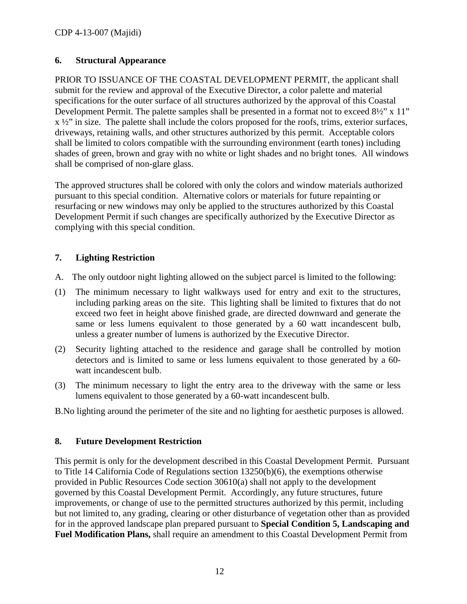#### <span id="page-16-0"></span>**6. Structural Appearance**

PRIOR TO ISSUANCE OF THE COASTAL DEVELOPMENT PERMIT, the applicant shall submit for the review and approval of the Executive Director, a color palette and material specifications for the outer surface of all structures authorized by the approval of this Coastal Development Permit. The palette samples shall be presented in a format not to exceed  $8\frac{1}{2}$ " x 11"  $x \frac{1}{2}$ " in size. The palette shall include the colors proposed for the roofs, trims, exterior surfaces, driveways, retaining walls, and other structures authorized by this permit. Acceptable colors shall be limited to colors compatible with the surrounding environment (earth tones) including shades of green, brown and gray with no white or light shades and no bright tones. All windows shall be comprised of non-glare glass.

The approved structures shall be colored with only the colors and window materials authorized pursuant to this special condition. Alternative colors or materials for future repainting or resurfacing or new windows may only be applied to the structures authorized by this Coastal Development Permit if such changes are specifically authorized by the Executive Director as complying with this special condition.

#### <span id="page-16-1"></span>**7. Lighting Restriction**

- A. The only outdoor night lighting allowed on the subject parcel is limited to the following:
- (1) The minimum necessary to light walkways used for entry and exit to the structures, including parking areas on the site. This lighting shall be limited to fixtures that do not exceed two feet in height above finished grade, are directed downward and generate the same or less lumens equivalent to those generated by a 60 watt incandescent bulb, unless a greater number of lumens is authorized by the Executive Director.
- (2) Security lighting attached to the residence and garage shall be controlled by motion detectors and is limited to same or less lumens equivalent to those generated by a 60 watt incandescent bulb.
- (3) The minimum necessary to light the entry area to the driveway with the same or less lumens equivalent to those generated by a 60-watt incandescent bulb.

B.No lighting around the perimeter of the site and no lighting for aesthetic purposes is allowed.

#### <span id="page-16-2"></span>**8. Future Development Restriction**

This permit is only for the development described in this Coastal Development Permit. Pursuant to Title 14 California Code of Regulations section 13250(b)(6), the exemptions otherwise provided in Public Resources Code section 30610(a) shall not apply to the development governed by this Coastal Development Permit. Accordingly, any future structures, future improvements, or change of use to the permitted structures authorized by this permit, including but not limited to, any grading, clearing or other disturbance of vegetation other than as provided for in the approved landscape plan prepared pursuant to **Special Condition 5, Landscaping and Fuel Modification Plans,** shall require an amendment to this Coastal Development Permit from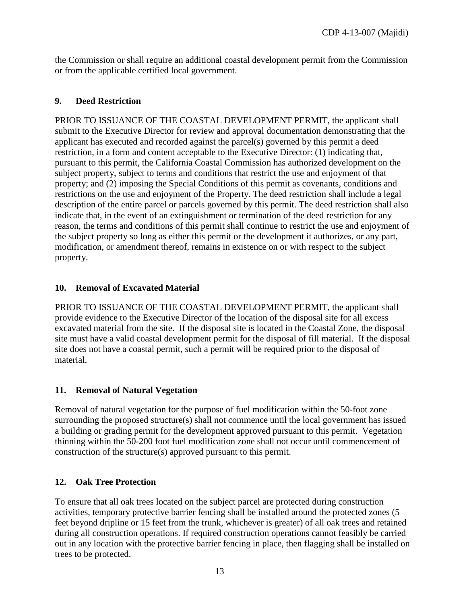the Commission or shall require an additional coastal development permit from the Commission or from the applicable certified local government.

#### <span id="page-17-0"></span>**9. Deed Restriction**

PRIOR TO ISSUANCE OF THE COASTAL DEVELOPMENT PERMIT, the applicant shall submit to the Executive Director for review and approval documentation demonstrating that the applicant has executed and recorded against the parcel(s) governed by this permit a deed restriction, in a form and content acceptable to the Executive Director: (1) indicating that, pursuant to this permit, the California Coastal Commission has authorized development on the subject property, subject to terms and conditions that restrict the use and enjoyment of that property; and (2) imposing the Special Conditions of this permit as covenants, conditions and restrictions on the use and enjoyment of the Property. The deed restriction shall include a legal description of the entire parcel or parcels governed by this permit. The deed restriction shall also indicate that, in the event of an extinguishment or termination of the deed restriction for any reason, the terms and conditions of this permit shall continue to restrict the use and enjoyment of the subject property so long as either this permit or the development it authorizes, or any part, modification, or amendment thereof, remains in existence on or with respect to the subject property.

#### <span id="page-17-1"></span>**10. Removal of Excavated Material**

PRIOR TO ISSUANCE OF THE COASTAL DEVELOPMENT PERMIT, the applicant shall provide evidence to the Executive Director of the location of the disposal site for all excess excavated material from the site. If the disposal site is located in the Coastal Zone, the disposal site must have a valid coastal development permit for the disposal of fill material. If the disposal site does not have a coastal permit, such a permit will be required prior to the disposal of material.

#### <span id="page-17-2"></span>**11. Removal of Natural Vegetation**

Removal of natural vegetation for the purpose of fuel modification within the 50-foot zone surrounding the proposed structure(s) shall not commence until the local government has issued a building or grading permit for the development approved pursuant to this permit. Vegetation thinning within the 50-200 foot fuel modification zone shall not occur until commencement of construction of the structure(s) approved pursuant to this permit.

#### <span id="page-17-3"></span>**12. Oak Tree Protection**

To ensure that all oak trees located on the subject parcel are protected during construction activities, temporary protective barrier fencing shall be installed around the protected zones (5 feet beyond dripline or 15 feet from the trunk, whichever is greater) of all oak trees and retained during all construction operations. If required construction operations cannot feasibly be carried out in any location with the protective barrier fencing in place, then flagging shall be installed on trees to be protected.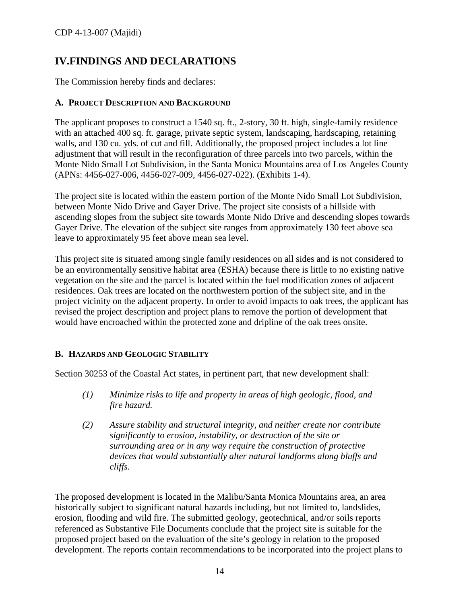## <span id="page-18-0"></span>**IV.FINDINGS AND DECLARATIONS**

The Commission hereby finds and declares:

#### <span id="page-18-1"></span>**A. PROJECT DESCRIPTION AND BACKGROUND**

The applicant proposes to construct a 1540 sq. ft., 2-story, 30 ft. high, single-family residence with an attached 400 sq. ft. garage, private septic system, landscaping, hardscaping, retaining walls, and 130 cu. yds. of cut and fill. Additionally, the proposed project includes a lot line adjustment that will result in the reconfiguration of three parcels into two parcels, within the Monte Nido Small Lot Subdivision, in the Santa Monica Mountains area of Los Angeles County (APNs: 4456-027-006, 4456-027-009, 4456-027-022). (Exhibits 1-4).

The project site is located within the eastern portion of the Monte Nido Small Lot Subdivision, between Monte Nido Drive and Gayer Drive. The project site consists of a hillside with ascending slopes from the subject site towards Monte Nido Drive and descending slopes towards Gayer Drive. The elevation of the subject site ranges from approximately 130 feet above sea leave to approximately 95 feet above mean sea level.

This project site is situated among single family residences on all sides and is not considered to be an environmentally sensitive habitat area (ESHA) because there is little to no existing native vegetation on the site and the parcel is located within the fuel modification zones of adjacent residences. Oak trees are located on the northwestern portion of the subject site, and in the project vicinity on the adjacent property. In order to avoid impacts to oak trees, the applicant has revised the project description and project plans to remove the portion of development that would have encroached within the protected zone and dripline of the oak trees onsite.

#### <span id="page-18-2"></span>**B. HAZARDS AND GEOLOGIC STABILITY**

Section 30253 of the Coastal Act states, in pertinent part, that new development shall:

- *(1) Minimize risks to life and property in areas of high geologic, flood, and fire hazard.*
- *(2) Assure stability and structural integrity, and neither create nor contribute significantly to erosion, instability, or destruction of the site or surrounding area or in any way require the construction of protective devices that would substantially alter natural landforms along bluffs and cliffs.*

The proposed development is located in the Malibu/Santa Monica Mountains area, an area historically subject to significant natural hazards including, but not limited to, landslides, erosion, flooding and wild fire. The submitted geology, geotechnical, and/or soils reports referenced as Substantive File Documents conclude that the project site is suitable for the proposed project based on the evaluation of the site's geology in relation to the proposed development. The reports contain recommendations to be incorporated into the project plans to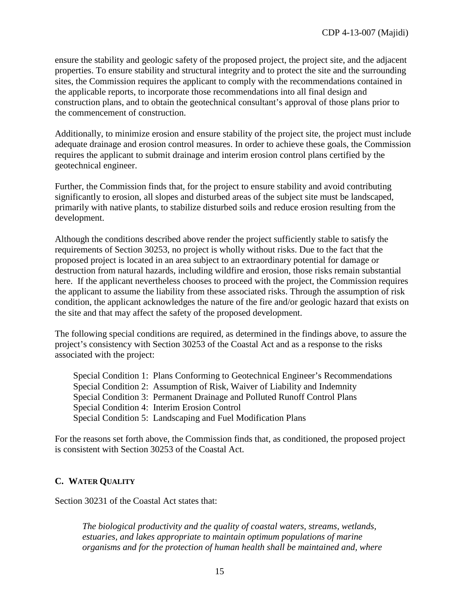ensure the stability and geologic safety of the proposed project, the project site, and the adjacent properties. To ensure stability and structural integrity and to protect the site and the surrounding sites, the Commission requires the applicant to comply with the recommendations contained in the applicable reports, to incorporate those recommendations into all final design and construction plans, and to obtain the geotechnical consultant's approval of those plans prior to the commencement of construction.

Additionally, to minimize erosion and ensure stability of the project site, the project must include adequate drainage and erosion control measures. In order to achieve these goals, the Commission requires the applicant to submit drainage and interim erosion control plans certified by the geotechnical engineer.

Further, the Commission finds that, for the project to ensure stability and avoid contributing significantly to erosion, all slopes and disturbed areas of the subject site must be landscaped, primarily with native plants, to stabilize disturbed soils and reduce erosion resulting from the development.

Although the conditions described above render the project sufficiently stable to satisfy the requirements of Section 30253, no project is wholly without risks. Due to the fact that the proposed project is located in an area subject to an extraordinary potential for damage or destruction from natural hazards, including wildfire and erosion, those risks remain substantial here. If the applicant nevertheless chooses to proceed with the project, the Commission requires the applicant to assume the liability from these associated risks. Through the assumption of risk condition, the applicant acknowledges the nature of the fire and/or geologic hazard that exists on the site and that may affect the safety of the proposed development.

The following special conditions are required, as determined in the findings above, to assure the project's consistency with Section 30253 of the Coastal Act and as a response to the risks associated with the project:

Special Condition 1: Plans Conforming to Geotechnical Engineer's Recommendations Special Condition 2: Assumption of Risk, Waiver of Liability and Indemnity Special Condition 3: Permanent Drainage and Polluted Runoff Control Plans Special Condition 4: Interim Erosion Control Special Condition 5: Landscaping and Fuel Modification Plans

For the reasons set forth above, the Commission finds that, as conditioned, the proposed project is consistent with Section 30253 of the Coastal Act.

#### <span id="page-19-0"></span>**C. WATER QUALITY**

Section 30231 of the Coastal Act states that:

*The biological productivity and the quality of coastal waters, streams, wetlands, estuaries, and lakes appropriate to maintain optimum populations of marine organisms and for the protection of human health shall be maintained and, where*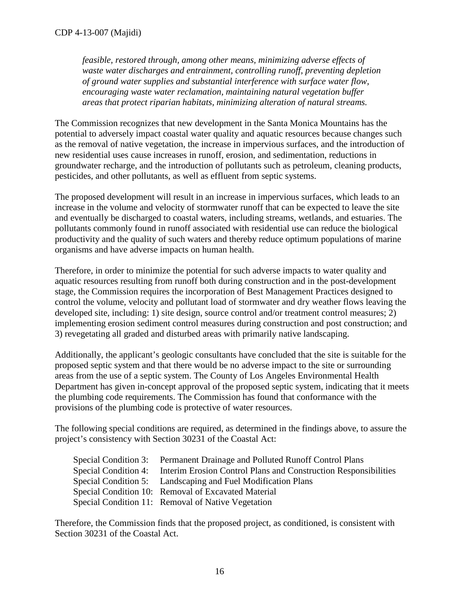*feasible, restored through, among other means, minimizing adverse effects of waste water discharges and entrainment, controlling runoff, preventing depletion of ground water supplies and substantial interference with surface water flow, encouraging waste water reclamation, maintaining natural vegetation buffer areas that protect riparian habitats, minimizing alteration of natural streams.*

The Commission recognizes that new development in the Santa Monica Mountains has the potential to adversely impact coastal water quality and aquatic resources because changes such as the removal of native vegetation, the increase in impervious surfaces, and the introduction of new residential uses cause increases in runoff, erosion, and sedimentation, reductions in groundwater recharge, and the introduction of pollutants such as petroleum, cleaning products, pesticides, and other pollutants, as well as effluent from septic systems.

The proposed development will result in an increase in impervious surfaces, which leads to an increase in the volume and velocity of stormwater runoff that can be expected to leave the site and eventually be discharged to coastal waters, including streams, wetlands, and estuaries. The pollutants commonly found in runoff associated with residential use can reduce the biological productivity and the quality of such waters and thereby reduce optimum populations of marine organisms and have adverse impacts on human health.

Therefore, in order to minimize the potential for such adverse impacts to water quality and aquatic resources resulting from runoff both during construction and in the post-development stage, the Commission requires the incorporation of Best Management Practices designed to control the volume, velocity and pollutant load of stormwater and dry weather flows leaving the developed site, including: 1) site design, source control and/or treatment control measures; 2) implementing erosion sediment control measures during construction and post construction; and 3) revegetating all graded and disturbed areas with primarily native landscaping.

Additionally, the applicant's geologic consultants have concluded that the site is suitable for the proposed septic system and that there would be no adverse impact to the site or surrounding areas from the use of a septic system. The County of Los Angeles Environmental Health Department has given in-concept approval of the proposed septic system, indicating that it meets the plumbing code requirements. The Commission has found that conformance with the provisions of the plumbing code is protective of water resources.

The following special conditions are required, as determined in the findings above, to assure the project's consistency with Section 30231 of the Coastal Act:

| Special Condition 3: Permanent Drainage and Polluted Runoff Control Plans            |
|--------------------------------------------------------------------------------------|
| Special Condition 4: Interim Erosion Control Plans and Construction Responsibilities |
| Special Condition 5: Landscaping and Fuel Modification Plans                         |
| Special Condition 10: Removal of Excavated Material                                  |
| Special Condition 11: Removal of Native Vegetation                                   |

Therefore, the Commission finds that the proposed project, as conditioned, is consistent with Section 30231 of the Coastal Act.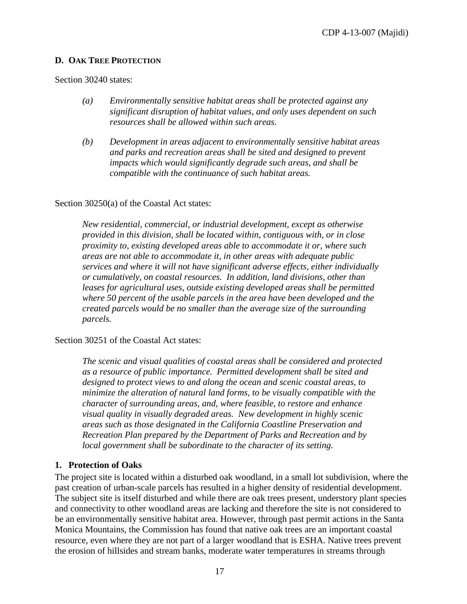#### <span id="page-21-0"></span>**D. OAK TREE PROTECTION**

Section 30240 states:

- *(a) Environmentally sensitive habitat areas shall be protected against any significant disruption of habitat values, and only uses dependent on such resources shall be allowed within such areas.*
- *(b) Development in areas adjacent to environmentally sensitive habitat areas and parks and recreation areas shall be sited and designed to prevent impacts which would significantly degrade such areas, and shall be compatible with the continuance of such habitat areas.*

#### Section 30250(a) of the Coastal Act states:

*New residential, commercial, or industrial development, except as otherwise provided in this division, shall be located within, contiguous with, or in close proximity to, existing developed areas able to accommodate it or, where such areas are not able to accommodate it, in other areas with adequate public services and where it will not have significant adverse effects, either individually or cumulatively, on coastal resources. In addition, land divisions, other than leases for agricultural uses, outside existing developed areas shall be permitted where 50 percent of the usable parcels in the area have been developed and the created parcels would be no smaller than the average size of the surrounding parcels.* 

Section 30251 of the Coastal Act states:

*The scenic and visual qualities of coastal areas shall be considered and protected as a resource of public importance. Permitted development shall be sited and designed to protect views to and along the ocean and scenic coastal areas, to minimize the alteration of natural land forms, to be visually compatible with the character of surrounding areas, and, where feasible, to restore and enhance visual quality in visually degraded areas. New development in highly scenic areas such as those designated in the California Coastline Preservation and Recreation Plan prepared by the Department of Parks and Recreation and by local government shall be subordinate to the character of its setting.*

#### **1. Protection of Oaks**

The project site is located within a disturbed oak woodland, in a small lot subdivision, where the past creation of urban-scale parcels has resulted in a higher density of residential development. The subject site is itself disturbed and while there are oak trees present, understory plant species and connectivity to other woodland areas are lacking and therefore the site is not considered to be an environmentally sensitive habitat area. However, through past permit actions in the Santa Monica Mountains, the Commission has found that native oak trees are an important coastal resource, even where they are not part of a larger woodland that is ESHA. Native trees prevent the erosion of hillsides and stream banks, moderate water temperatures in streams through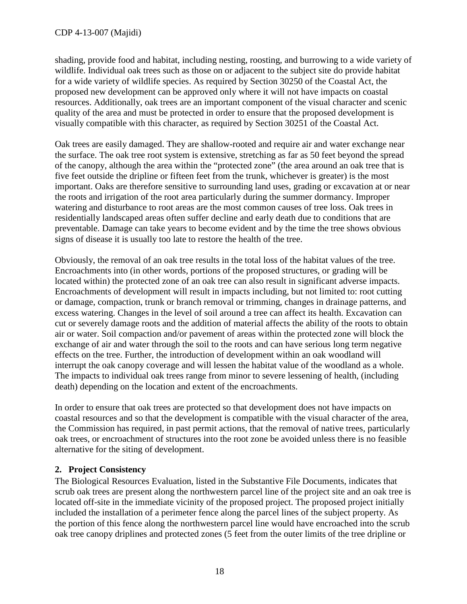shading, provide food and habitat, including nesting, roosting, and burrowing to a wide variety of wildlife. Individual oak trees such as those on or adjacent to the subject site do provide habitat for a wide variety of wildlife species. As required by Section 30250 of the Coastal Act, the proposed new development can be approved only where it will not have impacts on coastal resources. Additionally, oak trees are an important component of the visual character and scenic quality of the area and must be protected in order to ensure that the proposed development is visually compatible with this character, as required by Section 30251 of the Coastal Act.

Oak trees are easily damaged. They are shallow-rooted and require air and water exchange near the surface. The oak tree root system is extensive, stretching as far as 50 feet beyond the spread of the canopy, although the area within the "protected zone" (the area around an oak tree that is five feet outside the dripline or fifteen feet from the trunk, whichever is greater) is the most important. Oaks are therefore sensitive to surrounding land uses, grading or excavation at or near the roots and irrigation of the root area particularly during the summer dormancy. Improper watering and disturbance to root areas are the most common causes of tree loss. Oak trees in residentially landscaped areas often suffer decline and early death due to conditions that are preventable. Damage can take years to become evident and by the time the tree shows obvious signs of disease it is usually too late to restore the health of the tree.

Obviously, the removal of an oak tree results in the total loss of the habitat values of the tree. Encroachments into (in other words, portions of the proposed structures, or grading will be located within) the protected zone of an oak tree can also result in significant adverse impacts. Encroachments of development will result in impacts including, but not limited to: root cutting or damage, compaction, trunk or branch removal or trimming, changes in drainage patterns, and excess watering. Changes in the level of soil around a tree can affect its health. Excavation can cut or severely damage roots and the addition of material affects the ability of the roots to obtain air or water. Soil compaction and/or pavement of areas within the protected zone will block the exchange of air and water through the soil to the roots and can have serious long term negative effects on the tree. Further, the introduction of development within an oak woodland will interrupt the oak canopy coverage and will lessen the habitat value of the woodland as a whole. The impacts to individual oak trees range from minor to severe lessening of health, (including death) depending on the location and extent of the encroachments.

In order to ensure that oak trees are protected so that development does not have impacts on coastal resources and so that the development is compatible with the visual character of the area, the Commission has required, in past permit actions, that the removal of native trees, particularly oak trees, or encroachment of structures into the root zone be avoided unless there is no feasible alternative for the siting of development.

#### **2. Project Consistency**

The Biological Resources Evaluation, listed in the Substantive File Documents, indicates that scrub oak trees are present along the northwestern parcel line of the project site and an oak tree is located off-site in the immediate vicinity of the proposed project. The proposed project initially included the installation of a perimeter fence along the parcel lines of the subject property. As the portion of this fence along the northwestern parcel line would have encroached into the scrub oak tree canopy driplines and protected zones (5 feet from the outer limits of the tree dripline or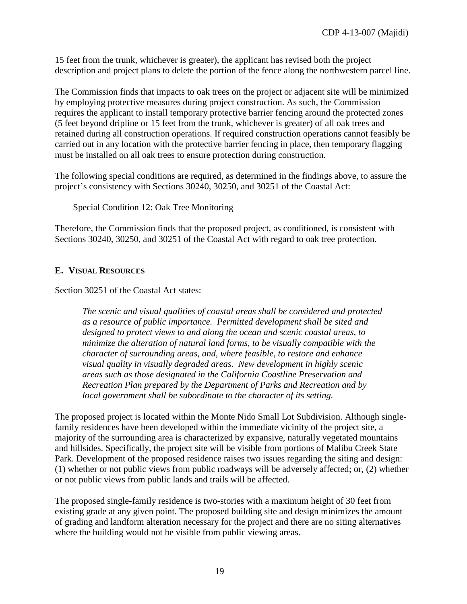15 feet from the trunk, whichever is greater), the applicant has revised both the project description and project plans to delete the portion of the fence along the northwestern parcel line.

The Commission finds that impacts to oak trees on the project or adjacent site will be minimized by employing protective measures during project construction. As such, the Commission requires the applicant to install temporary protective barrier fencing around the protected zones (5 feet beyond dripline or 15 feet from the trunk, whichever is greater) of all oak trees and retained during all construction operations. If required construction operations cannot feasibly be carried out in any location with the protective barrier fencing in place, then temporary flagging must be installed on all oak trees to ensure protection during construction.

The following special conditions are required, as determined in the findings above, to assure the project's consistency with Sections 30240, 30250, and 30251 of the Coastal Act:

Special Condition 12: Oak Tree Monitoring

Therefore, the Commission finds that the proposed project, as conditioned, is consistent with Sections 30240, 30250, and 30251 of the Coastal Act with regard to oak tree protection.

#### <span id="page-23-0"></span>**E. VISUAL RESOURCES**

Section 30251 of the Coastal Act states:

*The scenic and visual qualities of coastal areas shall be considered and protected as a resource of public importance. Permitted development shall be sited and designed to protect views to and along the ocean and scenic coastal areas, to minimize the alteration of natural land forms, to be visually compatible with the character of surrounding areas, and, where feasible, to restore and enhance visual quality in visually degraded areas. New development in highly scenic areas such as those designated in the California Coastline Preservation and Recreation Plan prepared by the Department of Parks and Recreation and by local government shall be subordinate to the character of its setting.*

The proposed project is located within the Monte Nido Small Lot Subdivision. Although singlefamily residences have been developed within the immediate vicinity of the project site, a majority of the surrounding area is characterized by expansive, naturally vegetated mountains and hillsides. Specifically, the project site will be visible from portions of Malibu Creek State Park. Development of the proposed residence raises two issues regarding the siting and design: (1) whether or not public views from public roadways will be adversely affected; or, (2) whether or not public views from public lands and trails will be affected.

The proposed single-family residence is two-stories with a maximum height of 30 feet from existing grade at any given point. The proposed building site and design minimizes the amount of grading and landform alteration necessary for the project and there are no siting alternatives where the building would not be visible from public viewing areas.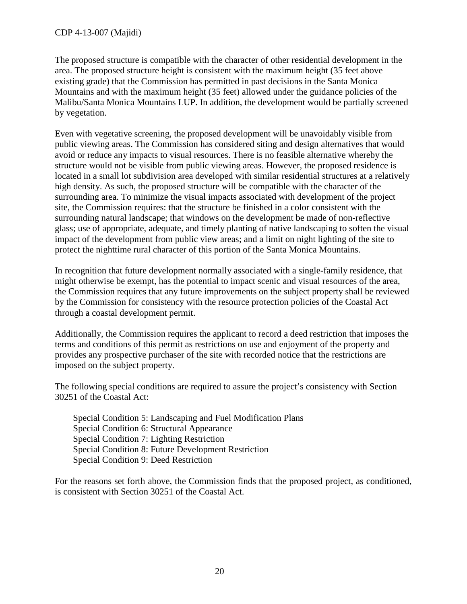The proposed structure is compatible with the character of other residential development in the area. The proposed structure height is consistent with the maximum height (35 feet above existing grade) that the Commission has permitted in past decisions in the Santa Monica Mountains and with the maximum height (35 feet) allowed under the guidance policies of the Malibu/Santa Monica Mountains LUP. In addition, the development would be partially screened by vegetation.

Even with vegetative screening, the proposed development will be unavoidably visible from public viewing areas. The Commission has considered siting and design alternatives that would avoid or reduce any impacts to visual resources. There is no feasible alternative whereby the structure would not be visible from public viewing areas. However, the proposed residence is located in a small lot subdivision area developed with similar residential structures at a relatively high density. As such, the proposed structure will be compatible with the character of the surrounding area. To minimize the visual impacts associated with development of the project site, the Commission requires: that the structure be finished in a color consistent with the surrounding natural landscape; that windows on the development be made of non-reflective glass; use of appropriate, adequate, and timely planting of native landscaping to soften the visual impact of the development from public view areas; and a limit on night lighting of the site to protect the nighttime rural character of this portion of the Santa Monica Mountains.

In recognition that future development normally associated with a single-family residence, that might otherwise be exempt, has the potential to impact scenic and visual resources of the area, the Commission requires that any future improvements on the subject property shall be reviewed by the Commission for consistency with the resource protection policies of the Coastal Act through a coastal development permit.

Additionally, the Commission requires the applicant to record a deed restriction that imposes the terms and conditions of this permit as restrictions on use and enjoyment of the property and provides any prospective purchaser of the site with recorded notice that the restrictions are imposed on the subject property.

The following special conditions are required to assure the project's consistency with Section 30251 of the Coastal Act:

Special Condition 5: Landscaping and Fuel Modification Plans Special Condition 6: Structural Appearance Special Condition 7: Lighting Restriction Special Condition 8: Future Development Restriction Special Condition 9: Deed Restriction

For the reasons set forth above, the Commission finds that the proposed project, as conditioned, is consistent with Section 30251 of the Coastal Act.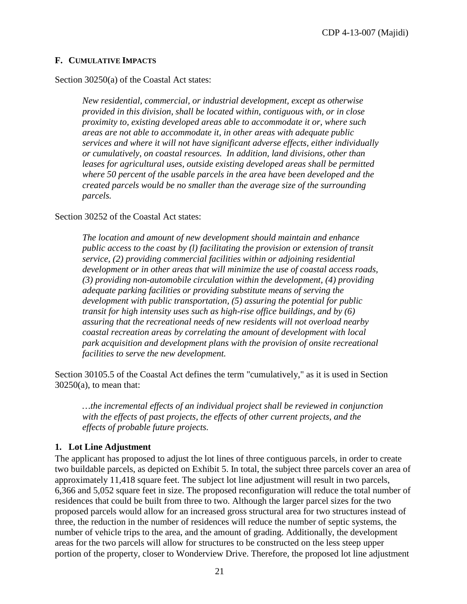#### <span id="page-25-0"></span>**F. CUMULATIVE IMPACTS**

Section 30250(a) of the Coastal Act states:

*New residential, commercial, or industrial development, except as otherwise provided in this division, shall be located within, contiguous with, or in close proximity to, existing developed areas able to accommodate it or, where such areas are not able to accommodate it, in other areas with adequate public services and where it will not have significant adverse effects, either individually or cumulatively, on coastal resources. In addition, land divisions, other than*  leases for agricultural uses, outside existing developed areas shall be permitted *where 50 percent of the usable parcels in the area have been developed and the created parcels would be no smaller than the average size of the surrounding parcels.* 

Section 30252 of the Coastal Act states:

*The location and amount of new development should maintain and enhance public access to the coast by (l) facilitating the provision or extension of transit service, (2) providing commercial facilities within or adjoining residential development or in other areas that will minimize the use of coastal access roads, (3) providing non-automobile circulation within the development, (4) providing adequate parking facilities or providing substitute means of serving the development with public transportation, (5) assuring the potential for public transit for high intensity uses such as high-rise office buildings, and by (6) assuring that the recreational needs of new residents will not overload nearby coastal recreation areas by correlating the amount of development with local park acquisition and development plans with the provision of onsite recreational facilities to serve the new development.* 

Section 30105.5 of the Coastal Act defines the term "cumulatively," as it is used in Section 30250(a), to mean that:

*…the incremental effects of an individual project shall be reviewed in conjunction with the effects of past projects, the effects of other current projects, and the effects of probable future projects.*

#### **1. Lot Line Adjustment**

The applicant has proposed to adjust the lot lines of three contiguous parcels, in order to create two buildable parcels, as depicted on Exhibit 5. In total, the subject three parcels cover an area of approximately 11,418 square feet. The subject lot line adjustment will result in two parcels, 6,366 and 5,052 square feet in size. The proposed reconfiguration will reduce the total number of residences that could be built from three to two. Although the larger parcel sizes for the two proposed parcels would allow for an increased gross structural area for two structures instead of three, the reduction in the number of residences will reduce the number of septic systems, the number of vehicle trips to the area, and the amount of grading. Additionally, the development areas for the two parcels will allow for structures to be constructed on the less steep upper portion of the property, closer to Wonderview Drive. Therefore, the proposed lot line adjustment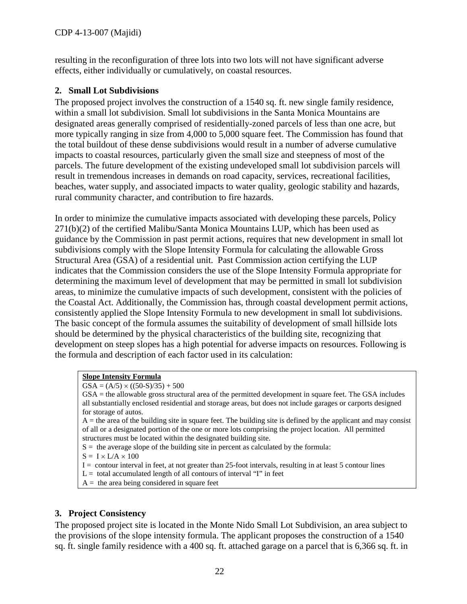resulting in the reconfiguration of three lots into two lots will not have significant adverse effects, either individually or cumulatively, on coastal resources.

#### **2. Small Lot Subdivisions**

The proposed project involves the construction of a 1540 sq. ft. new single family residence, within a small lot subdivision. Small lot subdivisions in the Santa Monica Mountains are designated areas generally comprised of residentially-zoned parcels of less than one acre, but more typically ranging in size from 4,000 to 5,000 square feet. The Commission has found that the total buildout of these dense subdivisions would result in a number of adverse cumulative impacts to coastal resources, particularly given the small size and steepness of most of the parcels. The future development of the existing undeveloped small lot subdivision parcels will result in tremendous increases in demands on road capacity, services, recreational facilities, beaches, water supply, and associated impacts to water quality, geologic stability and hazards, rural community character, and contribution to fire hazards.

In order to minimize the cumulative impacts associated with developing these parcels, Policy  $271(b)(2)$  of the certified Malibu/Santa Monica Mountains LUP, which has been used as guidance by the Commission in past permit actions, requires that new development in small lot subdivisions comply with the Slope Intensity Formula for calculating the allowable Gross Structural Area (GSA) of a residential unit. Past Commission action certifying the LUP indicates that the Commission considers the use of the Slope Intensity Formula appropriate for determining the maximum level of development that may be permitted in small lot subdivision areas, to minimize the cumulative impacts of such development, consistent with the policies of the Coastal Act. Additionally, the Commission has, through coastal development permit actions, consistently applied the Slope Intensity Formula to new development in small lot subdivisions. The basic concept of the formula assumes the suitability of development of small hillside lots should be determined by the physical characteristics of the building site, recognizing that development on steep slopes has a high potential for adverse impacts on resources. Following is the formula and description of each factor used in its calculation:

#### **Slope Intensity Formula**

 $GSA = (A/5) \times ((50-S)/35) + 500$ 

GSA = the allowable gross structural area of the permitted development in square feet. The GSA includes all substantially enclosed residential and storage areas, but does not include garages or carports designed for storage of autos.

 $A =$  the area of the building site in square feet. The building site is defined by the applicant and may consist of all or a designated portion of the one or more lots comprising the project location. All permitted structures must be located within the designated building site.

 $S =$  the average slope of the building site in percent as calculated by the formula:

 $S = I \times L/A \times 100$ 

- I = contour interval in feet, at not greater than 25-foot intervals, resulting in at least 5 contour lines
- $L =$  total accumulated length of all contours of interval "I" in feet
- $A =$  the area being considered in square feet

#### **3. Project Consistency**

The proposed project site is located in the Monte Nido Small Lot Subdivision, an area subject to the provisions of the slope intensity formula. The applicant proposes the construction of a 1540 sq. ft. single family residence with a 400 sq. ft. attached garage on a parcel that is 6,366 sq. ft. in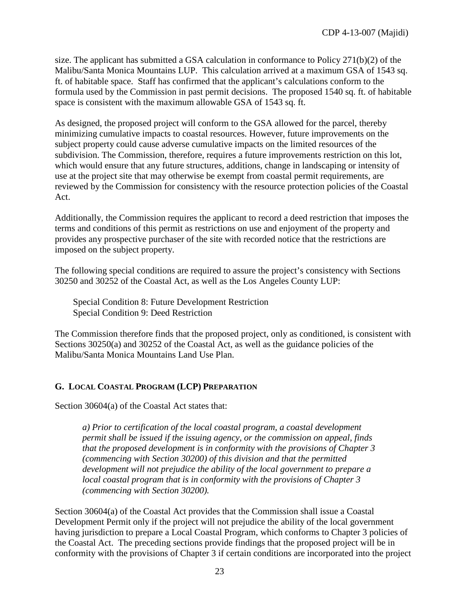size. The applicant has submitted a GSA calculation in conformance to Policy 271(b)(2) of the Malibu/Santa Monica Mountains LUP. This calculation arrived at a maximum GSA of 1543 sq. ft. of habitable space. Staff has confirmed that the applicant's calculations conform to the formula used by the Commission in past permit decisions. The proposed 1540 sq. ft. of habitable space is consistent with the maximum allowable GSA of 1543 sq. ft.

As designed, the proposed project will conform to the GSA allowed for the parcel, thereby minimizing cumulative impacts to coastal resources. However, future improvements on the subject property could cause adverse cumulative impacts on the limited resources of the subdivision. The Commission, therefore, requires a future improvements restriction on this lot, which would ensure that any future structures, additions, change in landscaping or intensity of use at the project site that may otherwise be exempt from coastal permit requirements, are reviewed by the Commission for consistency with the resource protection policies of the Coastal Act.

Additionally, the Commission requires the applicant to record a deed restriction that imposes the terms and conditions of this permit as restrictions on use and enjoyment of the property and provides any prospective purchaser of the site with recorded notice that the restrictions are imposed on the subject property.

The following special conditions are required to assure the project's consistency with Sections 30250 and 30252 of the Coastal Act, as well as the Los Angeles County LUP:

Special Condition 8: Future Development Restriction Special Condition 9: Deed Restriction

The Commission therefore finds that the proposed project, only as conditioned, is consistent with Sections 30250(a) and 30252 of the Coastal Act, as well as the guidance policies of the Malibu/Santa Monica Mountains Land Use Plan.

#### <span id="page-27-0"></span>**G. LOCAL COASTAL PROGRAM (LCP) PREPARATION**

Section 30604(a) of the Coastal Act states that:

*a) Prior to certification of the local coastal program, a coastal development permit shall be issued if the issuing agency, or the commission on appeal, finds that the proposed development is in conformity with the provisions of Chapter 3 (commencing with Section 30200) of this division and that the permitted development will not prejudice the ability of the local government to prepare a local coastal program that is in conformity with the provisions of Chapter 3 (commencing with Section 30200).* 

Section 30604(a) of the Coastal Act provides that the Commission shall issue a Coastal Development Permit only if the project will not prejudice the ability of the local government having jurisdiction to prepare a Local Coastal Program, which conforms to Chapter 3 policies of the Coastal Act. The preceding sections provide findings that the proposed project will be in conformity with the provisions of Chapter 3 if certain conditions are incorporated into the project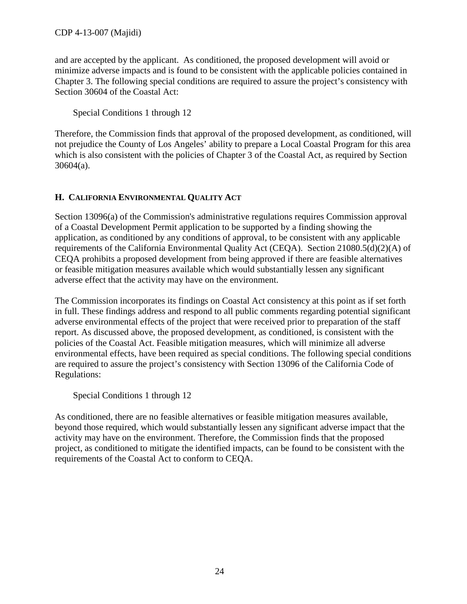and are accepted by the applicant. As conditioned, the proposed development will avoid or minimize adverse impacts and is found to be consistent with the applicable policies contained in Chapter 3. The following special conditions are required to assure the project's consistency with Section 30604 of the Coastal Act:

Special Conditions 1 through 12

Therefore, the Commission finds that approval of the proposed development, as conditioned, will not prejudice the County of Los Angeles' ability to prepare a Local Coastal Program for this area which is also consistent with the policies of Chapter 3 of the Coastal Act, as required by Section 30604(a).

#### <span id="page-28-0"></span>**H. CALIFORNIA ENVIRONMENTAL QUALITY ACT**

Section 13096(a) of the Commission's administrative regulations requires Commission approval of a Coastal Development Permit application to be supported by a finding showing the application, as conditioned by any conditions of approval, to be consistent with any applicable requirements of the California Environmental Quality Act (CEQA). Section 21080.5(d)(2)(A) of CEQA prohibits a proposed development from being approved if there are feasible alternatives or feasible mitigation measures available which would substantially lessen any significant adverse effect that the activity may have on the environment.

The Commission incorporates its findings on Coastal Act consistency at this point as if set forth in full. These findings address and respond to all public comments regarding potential significant adverse environmental effects of the project that were received prior to preparation of the staff report. As discussed above, the proposed development, as conditioned, is consistent with the policies of the Coastal Act. Feasible mitigation measures, which will minimize all adverse environmental effects, have been required as special conditions. The following special conditions are required to assure the project's consistency with Section 13096 of the California Code of Regulations:

Special Conditions 1 through 12

As conditioned, there are no feasible alternatives or feasible mitigation measures available, beyond those required, which would substantially lessen any significant adverse impact that the activity may have on the environment. Therefore, the Commission finds that the proposed project, as conditioned to mitigate the identified impacts, can be found to be consistent with the requirements of the Coastal Act to conform to CEQA.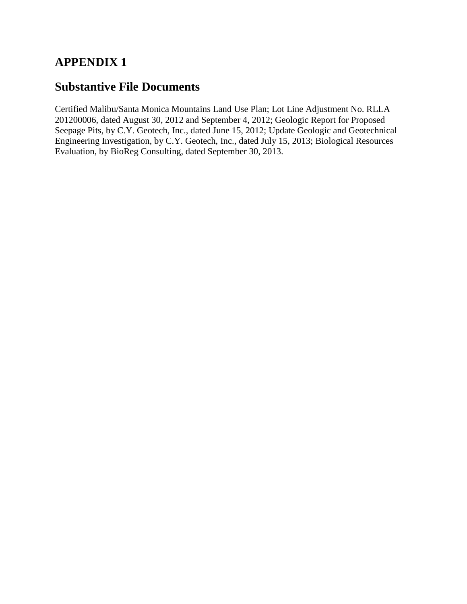## **APPENDIX 1**

## **Substantive File Documents**

Certified Malibu/Santa Monica Mountains Land Use Plan; Lot Line Adjustment No. RLLA 201200006, dated August 30, 2012 and September 4, 2012; Geologic Report for Proposed Seepage Pits, by C.Y. Geotech, Inc., dated June 15, 2012; Update Geologic and Geotechnical Engineering Investigation, by C.Y. Geotech, Inc., dated July 15, 2013; Biological Resources Evaluation, by BioReg Consulting, dated September 30, 2013.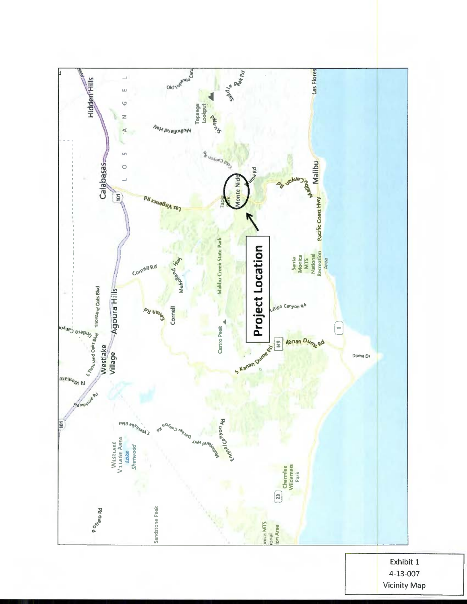

Exhibit 1 4-13-007 **Vicinity Map**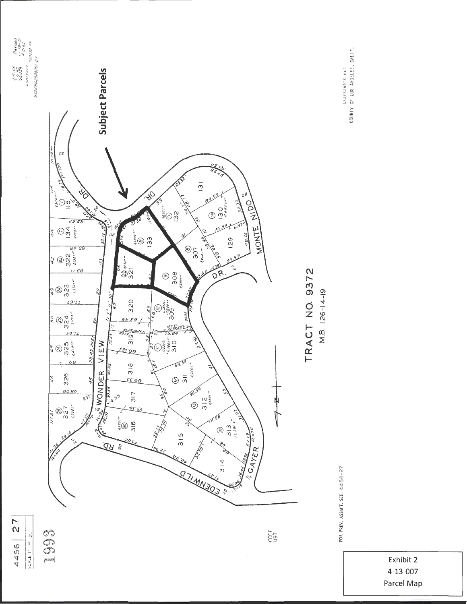

 $\frac{1}{2}$ 

FOR PREY. ASSMT. SEE: 4456-27

ASSESSOR"S.MAP<br>COUNTY OF LOS ANGELÉS, CALIF.

Exhibit 2 4-13-007 Parcel Map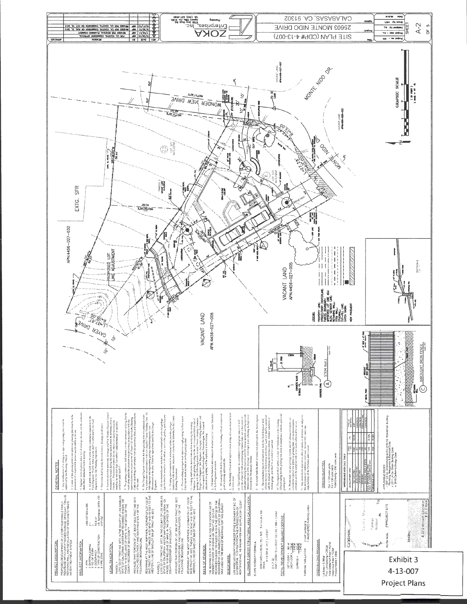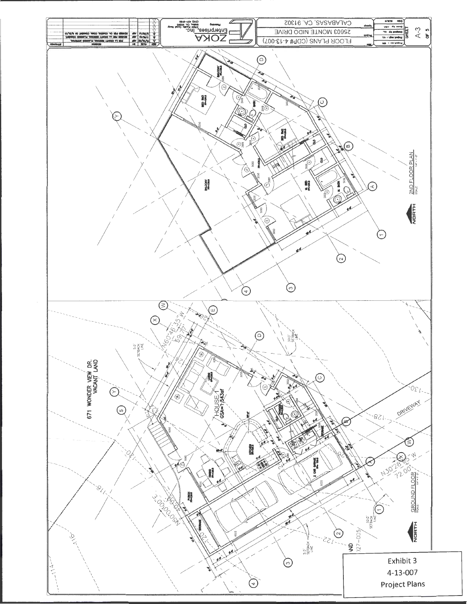![](_page_33_Figure_0.jpeg)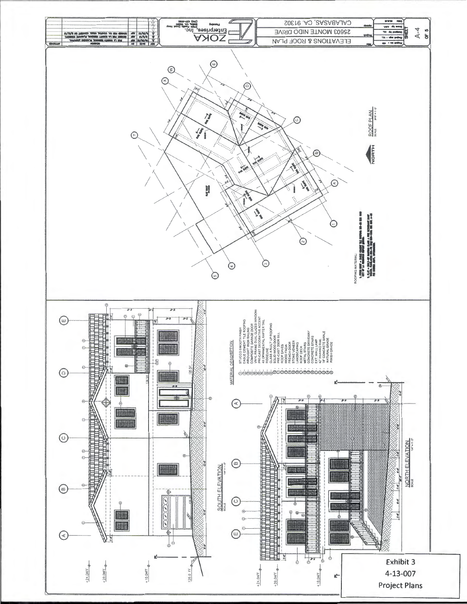![](_page_34_Figure_0.jpeg)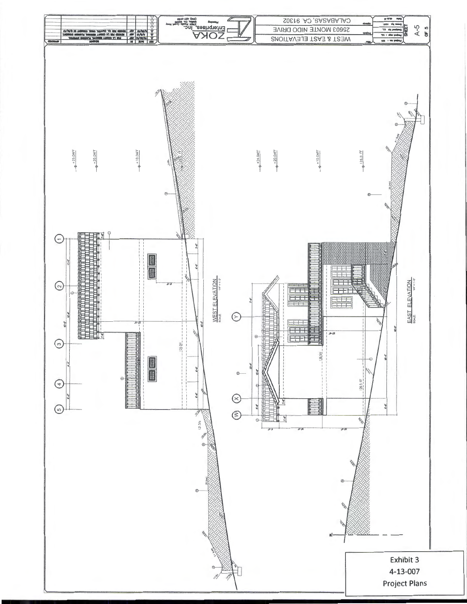![](_page_35_Figure_0.jpeg)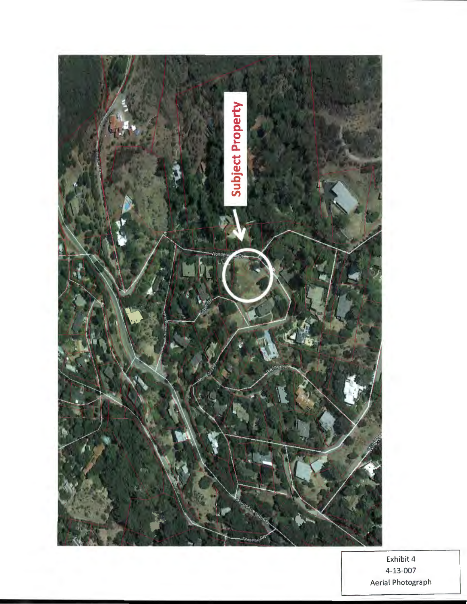![](_page_36_Picture_0.jpeg)

Exhibit 4 4-13-007 Aerial Photograph